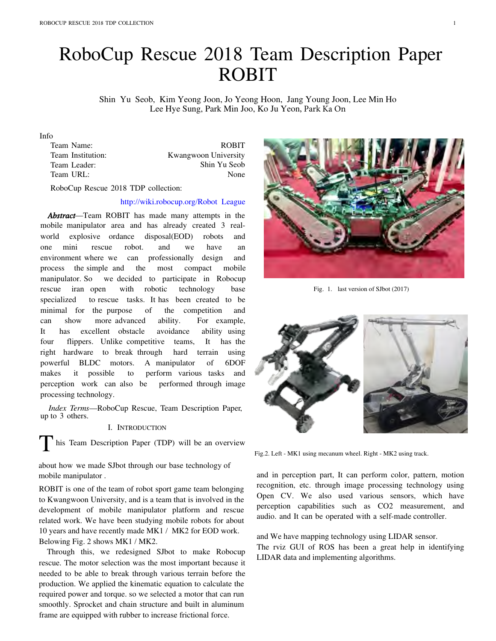# RoboCup Rescue 2018 Team Description Paper **ROBIT**

Shin Yu Seob, Kim Yeong Joon, Jo Yeong Hoon, Jang Young Joon, Lee Min Ho Lee Hye Sung, Park Min Joo, Ko Ju Yeon, Park Ka On

#### Info

| Team Name:        | <b>ROBIT</b>         |
|-------------------|----------------------|
| Team Institution: | Kwangwoon University |
| Team Leader:      | Shin Yu Seob         |
| Team URL:         | None                 |
|                   |                      |

RoboCup Rescue 2018 TDP collection:

# http://wiki.robocup.org/Robot League

**Abstract**—Team ROBIT has made many attempts in the mobile manipulator area and has already created 3 realworld explosive ordance disposal(EOD) robots and mini rescue have one robot. and we. an environment where we can professionally design and process the simple and the most compact mobile manipulator. So we decided to participate in Robocup robotic technology rescue iran open with base specialized to rescue tasks. It has been created to be minimal for the purpose of the competition and can show more advanced ability. For example, excellent obstacle avoidance **It** has ability using four flippers. Unlike competitive teams, It has the right hardware to break through hard terrain using powerful BLDC motors. A manipulator of 6DOF it possible perform various tasks makes to and perception work can also be performed through image processing technology.

Index Terms-RoboCup Rescue, Team Description Paper, up to 3 others.

I. INTRODUCTION

his Team Description Paper (TDP) will be an overview

about how we made SJ bot through our base technology of mobile manipulator.

ROBIT is one of the team of robot sport game team belonging to Kwangwoon University, and is a team that is involved in the development of mobile manipulator platform and rescue related work. We have been studying mobile robots for about 10 years and have recently made MK1 / MK2 for EOD work. Belowing Fig. 2 shows MK1 / MK2.

Through this, we redesigned SJbot to make Robocup rescue. The motor selection was the most important because it needed to be able to break through various terrain before the production. We applied the kinematic equation to calculate the required power and torque. so we selected a motor that can run smoothly. Sprocket and chain structure and built in aluminum frame are equipped with rubber to increase frictional force.



Fig. 1. last version of SJbot (2017)



Fig.2. Left - MK1 using mecanum wheel. Right - MK2 using track.

and in perception part, It can perform color, pattern, motion recognition, etc. through image processing technology using Open CV. We also used various sensors, which have perception capabilities such as CO2 measurement, and audio. and It can be operated with a self-made controller.

and We have mapping technology using LIDAR sensor. The rviz GUI of ROS has been a great help in identifying LIDAR data and implementing algorithms.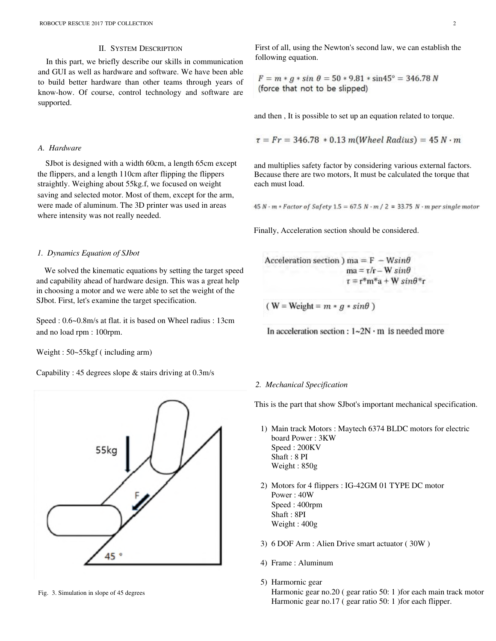# **II. SYSTEM DESCRIPTION**

In this part, we briefly describe our skills in communication and GUI as well as hardware and software. We have been able to build better hardware than other teams through years of know-how. Of course, control technology and software are supported.

## A. Hardware

SJbot is designed with a width 60cm, a length 65cm except the flippers, and a length 110cm after flipping the flippers straightly. Weighing about 55kg.f, we focused on weight saving and selected motor. Most of them, except for the arm, were made of aluminum. The 3D printer was used in areas where intensity was not really needed.

## 1. Dynamics Equation of SJbot

We solved the kinematic equations by setting the target speed and capability ahead of hardware design. This was a great help in choosing a motor and we were able to set the weight of the SJbot. First, let's examine the target specification.

Speed: 0.6~0.8m/s at flat. it is based on Wheel radius: 13cm and no load rpm : 100rpm.

Weight:  $50-55$ kgf (including arm)

Capability: 45 degrees slope  $\&$  stairs driving at 0.3m/s



Fig. 3. Simulation in slope of 45 degrees

First of all, using the Newton's second law, we can establish the following equation.

 $F = m * g * sin \theta = 50 * 9.81 * sin45^{\circ} = 346.78 N$ (force that not to be slipped)

and then, It is possible to set up an equation related to torque.

$$
\tau = Fr = 346.78 * 0.13 m(Wheel Radius) = 45 N \cdot m
$$

and multiplies safety factor by considering various external factors. Because there are two motors, It must be calculated the torque that each must load.

 $45 N \cdot m * Factor$  of Safety 1.5 = 67.5 N  $\cdot m / 2$  = 33.75 N  $\cdot m$  per single motor

Finally, Acceleration section should be considered.

Acceleration section ) ma =  $F - Wsin\theta$  $ma = \tau/r - W \sin\theta$  $\tau = r^*m^*a + W \sin\theta^*r$ 

(W = Weight =  $m * g * sin\theta$ )

In acceleration section :  $1\text{-}2N \cdot m$  is needed more

## 2. Mechanical Specification

This is the part that show SJbot's important mechanical specification.

- 1) Main track Motors: Maytech 6374 BLDC motors for electric board Power: 3KW Speed: 200KV Shaft: 8 PI Weight: 850g
- 2) Motors for 4 flippers : IG-42GM 01 TYPE DC motor Power: 40W Speed: 400rpm Shaft: 8PI Weight: 400g
- 3) 6 DOF Arm : Alien Drive smart actuator (30W)
- 4) Frame : Aluminum
- 5) Harmornic gear Harmonic gear no.20 (gear ratio 50: 1) for each main track motor Harmonic gear no.17 (gear ratio 50: 1) for each flipper.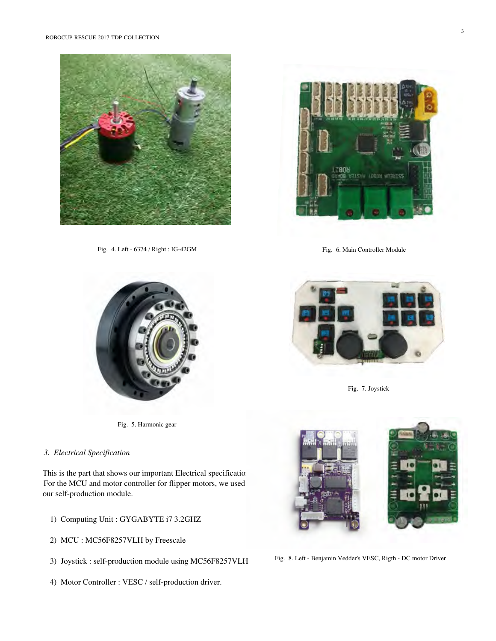

Fig. 4. Left - 6374 / Right : IG-42GM



Fig. 6. Main Controller Module



Fig. 5. Harmonic gear

## 3. Electrical Specification

This is the part that shows our important Electrical specification For the MCU and motor controller for flipper motors, we used our self-production module.

- 1) Computing Unit : GYGABYTE i7 3.2GHZ
- 2) MCU: MC56F8257VLH by Freescale
- 3) Joystick : self-production module using MC56F8257VLH
- 4) Motor Controller : VESC / self-production driver.



Fig. 7. Joystick



Fig. 8. Left - Benjamin Vedder's VESC, Rigth - DC motor Driver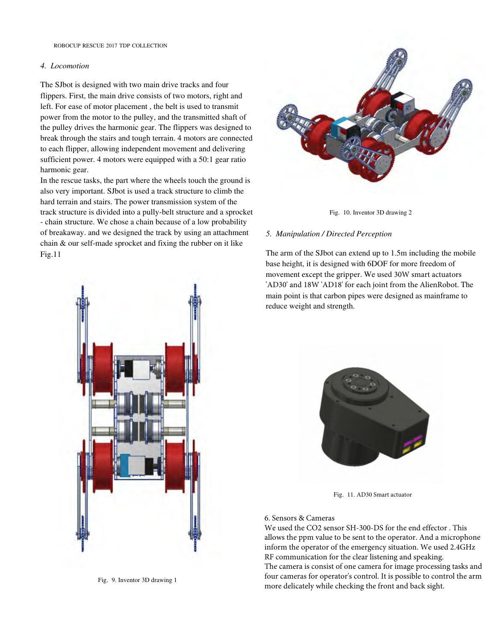# 4. Locomotion

The SJ bot is designed with two main drive tracks and four flippers. First, the main drive consists of two motors, right and left. For ease of motor placement, the belt is used to transmit power from the motor to the pulley, and the transmitted shaft of the pulley drives the harmonic gear. The flippers was designed to break through the stairs and tough terrain. 4 motors are connected to each flipper, allowing independent movement and delivering sufficient power. 4 motors were equipped with a 50:1 gear ratio harmonic gear.

In the rescue tasks, the part where the wheels touch the ground is also very important. SJbot is used a track structure to climb the hard terrain and stairs. The power transmission system of the track structure is divided into a pully-belt structure and a sprocket - chain structure. We chose a chain because of a low probability of breakaway, and we designed the track by using an attachment chain & our self-made sprocket and fixing the rubber on it like  $Fig.11$ 





#### 5. Manipulation / Directed Perception

The arm of the SJ bot can extend up to 1.5m including the mobile base height, it is designed with 6DOF for more freedom of movement except the gripper. We used 30W smart actuators 'AD30' and 18W 'AD18' for each joint from the AlienRobot. The main point is that carbon pipes were designed as mainframe to reduce weight and strength.



Fig. 11. AD30 Smart actuator

# 6. Sensors & Cameras

We used the CO2 sensor SH-300-DS for the end effector. This allows the ppm value to be sent to the operator. And a microphone inform the operator of the emergency situation. We used 2.4GHz RF communication for the clear listening and speaking. The camera is consist of one camera for image processing tasks and four cameras for operator's control. It is possible to control the arm more delicately while checking the front and back sight.



Fig. 9. Inventor 3D drawing 1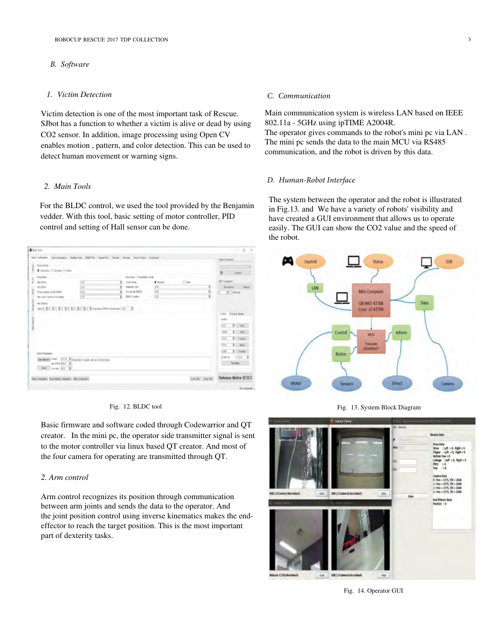## **B.** Software

# 1. Victim Detection

Victim detection is one of the most important task of Rescue. SJbot has a function to whether a victim is alive or dead by using CO2 sensor. In addition, image processing using Open CV enables motion, pattern, and color detection. This can be used to detect human movement or warning signs.

## 2. Main Tools

For the BLDC control, we used the tool provided by the Benjamin vedder. With this tool, basic setting of motor controller, PID control and setting of Hall sensor can be done.

| <b>BILDCTool</b>                                                                           |     |   |                        |                |      |                      | o                                                                                                                                                 |
|--------------------------------------------------------------------------------------------|-----|---|------------------------|----------------|------|----------------------|---------------------------------------------------------------------------------------------------------------------------------------------------|
| Mro Cortantor Au-Cortantos Federalism MMF/or CoverFor Sensa Fansas Rats-Folder Expenses    |     |   |                        |                |      |                      | Seat Excertist                                                                                                                                    |
| <b>Smoother</b><br><b>Mone</b>                                                             |     |   |                        |                |      |                      |                                                                                                                                                   |
| # Senidest 12 Secured 12 Autor                                                             |     |   |                        |                |      |                      | $\circ$<br>- Color                                                                                                                                |
| Smisker.                                                                                   |     |   | Smokes - Emmation Wale |                |      |                      |                                                                                                                                                   |
| <b>N</b><br><b>HETV</b>                                                                    | hш  | × | Cove Mid-              | <b>W</b> Megan | Dóaw |                      | <b>UP Consultor</b>                                                                                                                               |
| st jww.<br>PSC.                                                                            | 计算  | ż | <b>FRIDAY LINE</b>     | 36             |      |                      | Diciemo Roser                                                                                                                                     |
| Post about a St DPV                                                                        | òп. | ¥ | In List Mr ERTH        | 66             |      | X                    | <b>E</b> CONFet                                                                                                                                   |
| Har base cared at discharge                                                                | bm  | ¥ | <b>EDIT Coasket</b>    | 68             |      |                      |                                                                                                                                                   |
| į<br><b>Deach Password</b><br>but allows: Cores 2014 & Constitutious will be printed here. |     |   |                        |                |      |                      | Comp<br>100<br>$\overline{55}$<br>$E = 10$<br>1500<br>I Come<br>386<br>¥.<br>534<br><b>Base</b><br>$1 -$ Forder<br>it and<br><b>Ridge</b><br>2354 |
| MATRIM REL E<br>Anty Louise D.N. &                                                         |     |   |                        |                |      |                      | Tul Doke<br><b>The Co</b>                                                                                                                         |
| Real collapsion. Real tellud collapsion. With collacebox.                                  |     |   |                        |                |      | Lucillat. Since Oil. | Release Motor (ESC)                                                                                                                               |
|                                                                                            |     |   |                        |                |      |                      | Not consider                                                                                                                                      |

#### Fig. 12. BLDC tool

Basic firmware and software coded through Codewarrior and QT creator. In the mini pc, the operator side transmitter signal is sent to the motor controller via linux based QT creator. And most of the four camera for operating are transmitted through QT.

# 2. Arm control

Arm control recognizes its position through communication between arm joints and sends the data to the operator. And the joint position control using inverse kinematics makes the endeffector to reach the target position. This is the most important part of dexterity tasks.

#### C. Communication

Main communication system is wireless LAN based on IEEE 802.11a - 5GHz using ipTIME A2004R.

The operator gives commands to the robot's mini pc via LAN. The mini pc sends the data to the main MCU via RS485 communication, and the robot is driven by this data.

## D. Human-Robot Interface

The system between the operator and the robot is illustrated in Fig.13. and We have a variety of robots' visibility and have created a GUI environment that allows us to operate easily. The GUI can show the CO2 value and the speed of the robot.



Fig. 13. System Block Diagram



Fig. 14. Operator GUI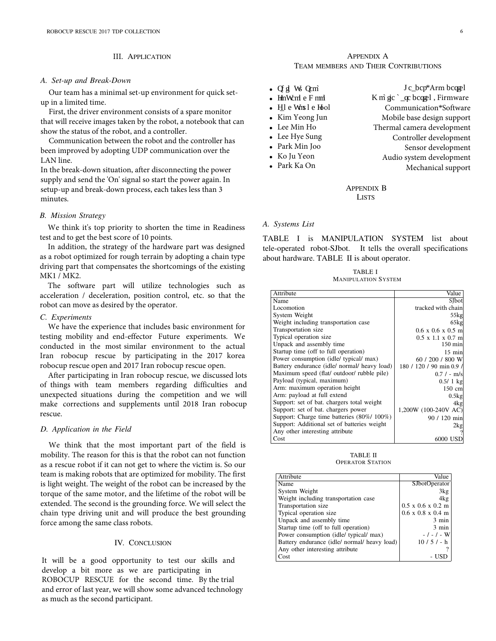## III. APPLICATION

#### *A. Set-up and Break-Down*

Our team has a minimal set-up environment for quick setup in a limited time.

First, the driver environment consists of a spare monitor that will receive images taken by the robot, a notebook that can show the status of the robot, and a controller.

Communication between the robot and the controller has been improved by adopting UDP communication over the LAN line.

In the break-down situation, after disconnecting the power supply and send the 'On' signal so start the power again. In setup-up and break-down process, each takes less than 3 minutes.

#### *B. Mission Strategy*

We think it's top priority to shorten the time in Readiness test and to get the best score of 10 points.

In addition, the strategy of the hardware part was designed as a robot optimized for rough terrain by adopting a chain type driving part that compensates the shortcomings of the existing MK1 / MK2.

The software part will utilize technologies such as acceleration / deceleration, position control, etc. so that the robot can move as desired by the operator.

### *C. Experiments*

We have the experience that includes basic environment for testing mobility and end-effector Future experiments. We conducted in the most similar environment to the actual Iran robocup rescue by participating in the 2017 korea robocup rescue open and 2017 Iran robocup rescue open.

After participating in Iran robocup rescue, we discussed lots of things with team members regarding difficulties and unexpected situations during the competition and we will make corrections and supplements until 2018 Iran robocup rescue.

#### *D. Application in the Field*

We think that the most important part of the field is mobility. The reason for this is that the robot can not function as a rescue robot if it can not get to where the victim is. So our team is making robots that are optimized for mobility. The first is light weight. The weight of the robot can be increased by the torque of the same motor, and the lifetime of the robot will be extended. The second is the grounding force. We will select the chain type driving unit and will produce the best grounding force among the same class robots.

#### IV. CONCLUSION

It will be a good opportunity to test our skills and develop a bit more as we are participating in ROBOCUP RESCUE for the second time. By the trial and error of last year, we will show some advanced technology as much as the second participant.

## APPENDIX A TEAM MEMBERS AND THEIR CONTRIBUTIONS

| $\bullet$ Cf gl Ws Qcm                   | J c_bcp*Arm bcqgel                      |
|------------------------------------------|-----------------------------------------|
| $\bullet$ HmWcm e F mm                   | K m $\rm{gc}$ $\rm{c}$ bcq el, Firmware |
| $\bullet$ H <sub>1</sub> l e Wms1 e Hool | Communication*Software                  |
| • Kim Yeong Jun                          | Mobile base design support              |
| • Lee Min Ho                             | Thermal camera development              |
| • Lee Hye Sung                           | Controller development                  |
| • Park Min Joo                           | Sensor development                      |
| • Ko Ju Yeon                             | Audio system development                |
| • Park Ka On                             | Mechanical support                      |
|                                          |                                         |

## APPENDIX B **LISTS**

## *A. Systems List*

TABLE I is MANIPULATION SYSTEM list about tele-operated robot-SJbot. It tells the overall specifications about hardware. TABLE II is about operator.

| TABLE I                    |  |
|----------------------------|--|
| <b>MANIPULATION SYSTEM</b> |  |

| Attribute                                    | Value                         |
|----------------------------------------------|-------------------------------|
| Name                                         | SJbot                         |
| Locomotion                                   | tracked with chain            |
| System Weight                                | $55$ kg                       |
| Weight including transportation case         | $65$ kg                       |
| Transportation size                          | $0.6 \times 0.6 \times 0.5$ m |
| Typical operation size                       | $0.5 \times 1.1 \times 0.7$ m |
| Unpack and assembly time                     | $150 \text{ min}$             |
| Startup time (off to full operation)         | $15$ min                      |
| Power consumption (idle/ typical/ max)       | 60 / 200 / 800 W              |
| Battery endurance (idle/ normal/ heavy load) | 180 / 120 / 90 min 0.9 /      |
| Maximum speed (flat/ outdoor/ rubble pile)   | $0.7 / - m/s$                 |
| Payload (typical, maximum)                   | $0.5/1$ kg                    |
| Arm: maximum operation height                | 150 cml                       |
| Arm: payload at full extend                  | 0.5kg                         |
| Support: set of bat. chargers total weight   | 4kg                           |
| Support: set of bat. chargers power          | 1,200W (100-240V AC)          |
| Support: Charge time batteries (80%/ 100%)   | 90 / 120 min                  |
| Support: Additional set of batteries weight  | 2kg                           |
| Any other interesting attribute              |                               |
| Cost                                         | 6000 USD                      |

TABLE II OPERATOR STATION

| Attribute                                    | Value                                 |
|----------------------------------------------|---------------------------------------|
| Name                                         | <b>SJbotOperator</b>                  |
| System Weight                                | 3kg                                   |
| Weight including transportation case         | 4kg                                   |
| Transportation size                          | $0.5 \times 0.6 \times 0.2 \text{ m}$ |
| Typical operation size                       | $0.6 \times 0.8 \times 0.4 \text{ m}$ |
| Unpack and assembly time                     | $3 \text{ min}$                       |
| Startup time (off to full operation)         | $3 \text{ min}$                       |
| Power consumption (idle/ typical/ max)       | - / - / - W                           |
| Battery endurance (idle/ normal/ heavy load) | $10/5/- h$                            |
| Any other interesting attribute              |                                       |
| Cost                                         |                                       |